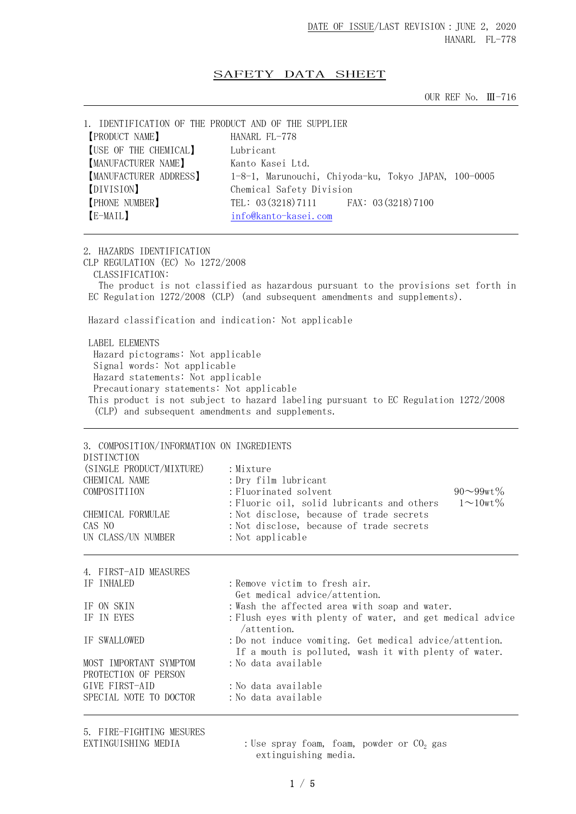## SAFETY DATA SHEET

OUR REF No. III-716

| 1. IDENTIFICATION OF THE PRODUCT AND OF THE SUPPLIER |                                                      |
|------------------------------------------------------|------------------------------------------------------|
| <b>[PRODUCT NAME]</b>                                | HANARL FL-778                                        |
| <b>[USE OF THE CHEMICAL]</b>                         | Lubricant                                            |
| <b>[MANUFACTURER NAME]</b>                           | Kanto Kasei Ltd.                                     |
| <b>MANUFACTURER ADDRESS</b>                          | 1-8-1, Marunouchi, Chiyoda-ku, Tokyo JAPAN, 100-0005 |
| [DIVISION]                                           | Chemical Safety Division                             |
| <b>[PHONE NUMBER]</b>                                | TEL: 03 (3218) 7111 FAX: 03 (3218) 7100              |
| [E-MAIL]                                             | info@kanto-kasei.com                                 |
|                                                      |                                                      |

2. HAZARDS IDENTIFICATION CLP REGULATION (EC) No 1272/2008 CLASSIFICATION: The product is not classified as hazardous pursuant to the provisions set forth in EC Regulation 1272/2008 (CLP) (and subsequent amendments and supplements). Hazard classification and indication: Not applicable

 LABEL ELEMENTS Hazard pictograms: Not applicable Signal words: Not applicable Hazard statements: Not applicable Precautionary statements: Not applicable This product is not subject to hazard labeling pursuant to EC Regulation 1272/2008 (CLP) and subsequent amendments and supplements.

| 3. COMPOSITION/INFORMATION ON INGREDIENTS<br><b>DISTINCTION</b><br>(SINGLE PRODUCT/MIXTURE)<br>CHEMICAL NAME<br>COMPOSITIION<br>CHEMICAL FORMULAE<br>CAS NO<br>UN CLASS/UN NUMBER | : Mixture<br>: Dry film lubricant<br>: Fluorinated solvent<br>: Fluoric oil, solid lubricants and others<br>: Not disclose, because of trade secrets<br>: Not disclose, because of trade secrets<br>: Not applicable | $90 - 99wt\%$<br>$1\sim10$ wt $\%$ |
|-----------------------------------------------------------------------------------------------------------------------------------------------------------------------------------|----------------------------------------------------------------------------------------------------------------------------------------------------------------------------------------------------------------------|------------------------------------|
| 4. FIRST-AID MEASURES                                                                                                                                                             |                                                                                                                                                                                                                      |                                    |
| IF INHALED                                                                                                                                                                        | : Remove victim to fresh air.<br>Get medical advice/attention.                                                                                                                                                       |                                    |
| IF ON SKIN                                                                                                                                                                        | : Wash the affected area with soap and water.                                                                                                                                                                        |                                    |
| IF IN EYES                                                                                                                                                                        | : Flush eyes with plenty of water, and get medical advice<br>$/$ attention.                                                                                                                                          |                                    |
| IF SWALLOWED                                                                                                                                                                      | : Do not induce vomiting. Get medical advice/attention.<br>If a mouth is polluted, wash it with plenty of water.                                                                                                     |                                    |
| MOST IMPORTANT SYMPTOM<br>PROTECTION OF PERSON                                                                                                                                    | : No data available                                                                                                                                                                                                  |                                    |
| GIVE FIRST-AID                                                                                                                                                                    | :No data available                                                                                                                                                                                                   |                                    |
| SPECIAL NOTE TO DOCTOR                                                                                                                                                            | :No data available                                                                                                                                                                                                   |                                    |

5. FIRE-FIGHTING MESURES

EXTINGUISHING MEDIA : Use spray foam, foam, powder or  $CO<sub>2</sub>$  gas extinguishing media.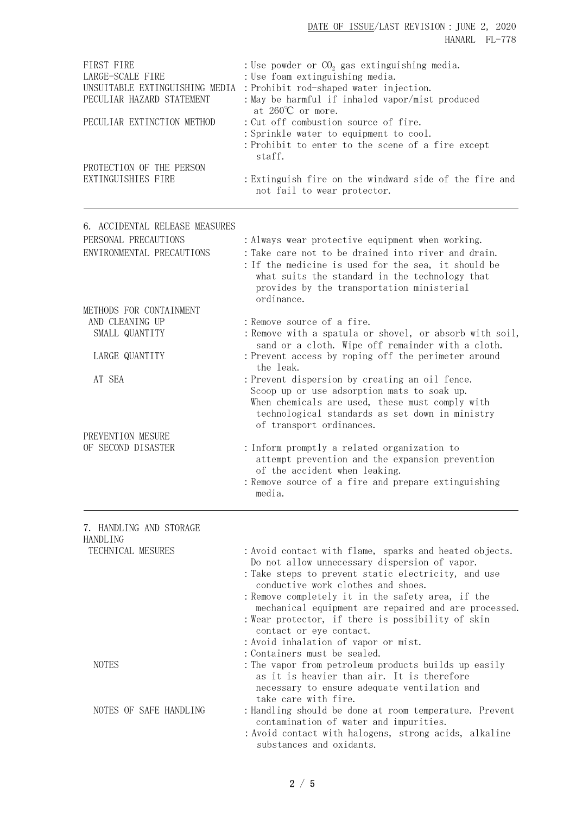DATE OF ISSUE/LAST REVISION:JUNE 2, 2020 HANARL FL-778

| FIRST FIRE                     | : Use powder or $CO2$ gas extinguishing media.                                        |
|--------------------------------|---------------------------------------------------------------------------------------|
| LARGE-SCALE FIRE               | : Use foam extinguishing media.                                                       |
| UNSUITABLE EXTINGUISHING MEDIA | : Prohibit rod-shaped water injection.                                                |
| PECULIAR HAZARD STATEMENT      | : May be harmful if inhaled vapor/mist produced                                       |
|                                | at $260^{\circ}$ C or more.                                                           |
| PECULIAR EXTINCTION METHOD     | : Cut off combustion source of fire.                                                  |
|                                | : Sprinkle water to equipment to cool.                                                |
|                                | : Prohibit to enter to the scene of a fire except<br>staff.                           |
| PROTECTION OF THE PERSON       |                                                                                       |
| EXTINGUISHIES FIRE             | : Extinguish fire on the windward side of the fire and<br>not fail to wear protector. |

| 6. ACCIDENTAL RELEASE MEASURES             |                                                                                                |
|--------------------------------------------|------------------------------------------------------------------------------------------------|
| PERSONAL PRECAUTIONS                       | : Always wear protective equipment when working.                                               |
| ENVIRONMENTAL PRECAUTIONS                  | : Take care not to be drained into river and drain.                                            |
|                                            | :If the medicine is used for the sea, it should be                                             |
|                                            | what suits the standard in the technology that                                                 |
|                                            | provides by the transportation ministerial                                                     |
|                                            | ordinance.                                                                                     |
| METHODS FOR CONTAINMENT<br>AND CLEANING UP | : Remove source of a fire.                                                                     |
| SMALL QUANTITY                             | : Remove with a spatula or shovel, or absorb with soil,                                        |
|                                            | sand or a cloth. Wipe off remainder with a cloth.                                              |
| LARGE QUANTITY                             | : Prevent access by roping off the perimeter around<br>the leak.                               |
| AT SEA                                     | : Prevent dispersion by creating an oil fence.                                                 |
|                                            | Scoop up or use adsorption mats to soak up.                                                    |
|                                            | When chemicals are used, these must comply with                                                |
|                                            | technological standards as set down in ministry                                                |
|                                            | of transport ordinances.                                                                       |
| PREVENTION MESURE                          |                                                                                                |
| OF SECOND DISASTER                         | : Inform promptly a related organization to<br>attempt prevention and the expansion prevention |
|                                            | of the accident when leaking.                                                                  |
|                                            | : Remove source of a fire and prepare extinguishing                                            |
|                                            | media.                                                                                         |
|                                            |                                                                                                |
| 7. HANDLING AND STORAGE                    |                                                                                                |
| <b>HANDLING</b><br>TECHNICAL MESURES       | : Avoid contact with flame, sparks and heated objects.                                         |
|                                            | Do not allow unnecessary dispersion of vapor.                                                  |
|                                            | : Take steps to prevent static electricity, and use                                            |
|                                            | conductive work clothes and shoes.                                                             |
|                                            | : Remove completely it in the safety area, if the                                              |
|                                            | mechanical equipment are repaired and are processed.                                           |
|                                            | : Wear protector, if there is possibility of skin<br>contact or eye contact.                   |
|                                            | : Avoid inhalation of vapor or mist.                                                           |
|                                            | : Containers must be sealed.                                                                   |
| <b>NOTES</b>                               | : The vapor from petroleum products builds up easily                                           |
|                                            | as it is heavier than air. It is therefore                                                     |
|                                            | necessary to ensure adequate ventilation and                                                   |
|                                            | take care with fire.                                                                           |

NOTES OF SAFE HANDLING : Handling should be done at room temperature. Prevent contamination of water and impurities.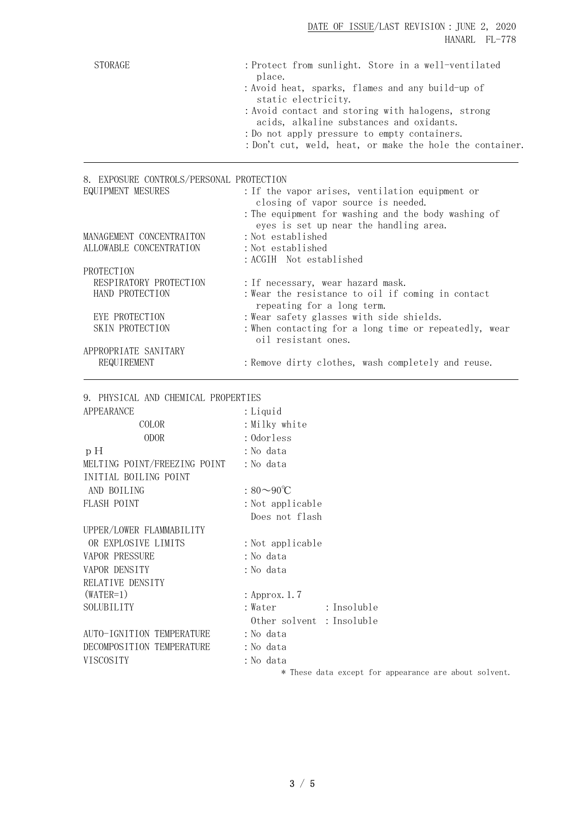DATE OF ISSUE/LAST REVISION:JUNE 2, 2020 HANARL FL-778

| <b>STORAGE</b>                           | : Protect from sunlight. Store in a well-ventilated<br>place.                                 |
|------------------------------------------|-----------------------------------------------------------------------------------------------|
|                                          | : Avoid heat, sparks, flames and any build-up of<br>static electricity.                       |
|                                          | : Avoid contact and storing with halogens, strong<br>acids, alkaline substances and oxidants. |
|                                          | : Do not apply pressure to empty containers.                                                  |
|                                          | : Don't cut, weld, heat, or make the hole the container.                                      |
| 8. EXPOSURE CONTROLS/PERSONAL PROTECTION |                                                                                               |
| EQUIPMENT MESURES                        | : If the vapor arises, ventilation equipment or<br>closing of vapor source is needed.         |

|                          | : The equipment for washing and the body washing of   |
|--------------------------|-------------------------------------------------------|
|                          | eyes is set up near the handling area.                |
| MANAGEMENT CONCENTRAITON | : Not established                                     |
| ALLOWABLE CONCENTRATION  | : Not established                                     |
|                          | : ACGIH Not established                               |
| PROTECTION               |                                                       |
| RESPIRATORY PROTECTION   | : If necessary, wear hazard mask.                     |
| HAND PROTECTION          | : Wear the resistance to oil if coming in contact     |
|                          | repeating for a long term.                            |
| EYE PROTECTION           | : Wear safety glasses with side shields.              |
| SKIN PROTECTION          | : When contacting for a long time or repeatedly, wear |
|                          | oil resistant ones.                                   |
| APPROPRIATE SANITARY     |                                                       |

REQUIREMENT : Remove dirty clothes, wash completely and reuse.

| 9. PHYSICAL AND CHEMICAL PROPERTIES |                                                       |
|-------------------------------------|-------------------------------------------------------|
| <b>APPEARANCE</b>                   | : Liquid                                              |
| COLOR                               | : Milky white                                         |
| <b>ODOR</b>                         | : Odorless                                            |
| pН                                  | :No data                                              |
| MELTING POINT/FREEZING POINT        | : No data                                             |
| INITIAL BOILING POINT               |                                                       |
| AND BOILING                         | : $80\sim90^{\circ}$ C                                |
| FLASH POINT                         | : Not applicable                                      |
|                                     | Does not flash                                        |
| UPPER/LOWER FLAMMABILITY            |                                                       |
| OR EXPLOSIVE LIMITS                 | : Not applicable                                      |
| <b>VAPOR PRESSURE</b>               | :No data                                              |
| VAPOR DENSITY                       | :No data                                              |
| RELATIVE DENSITY                    |                                                       |
| $(WATER=1)$                         | : Approx. 1.7                                         |
| SOLUBILITY                          | : Insoluble<br>: Water                                |
|                                     | Other solvent : Insoluble                             |
| AUTO-IGNITION TEMPERATURE           | :No data                                              |
| DECOMPOSITION TEMPERATURE           | : No data                                             |
| VISCOSITY                           | : No data                                             |
|                                     | * These data except for appearance are about solvent. |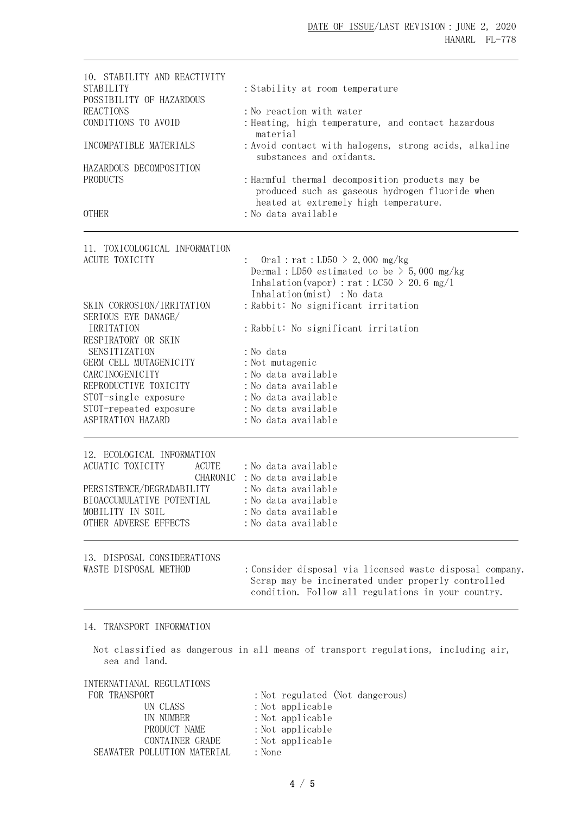| 10. STABILITY AND REACTIVITY<br>STABILITY<br>POSSIBILITY OF HAZARDOUS<br><b>REACTIONS</b><br>CONDITIONS TO AVOID                                                                                                                                    | : Stability at room temperature<br>: No reaction with water<br>: Heating, high temperature, and contact hazardous<br>material<br>: Avoid contact with halogens, strong acids, alkaline<br>substances and oxidants.<br>: Harmful thermal decomposition products may be<br>produced such as gaseous hydrogen fluoride when<br>heated at extremely high temperature.<br>: No data available |  |
|-----------------------------------------------------------------------------------------------------------------------------------------------------------------------------------------------------------------------------------------------------|------------------------------------------------------------------------------------------------------------------------------------------------------------------------------------------------------------------------------------------------------------------------------------------------------------------------------------------------------------------------------------------|--|
| INCOMPATIBLE MATERIALS                                                                                                                                                                                                                              |                                                                                                                                                                                                                                                                                                                                                                                          |  |
| HAZARDOUS DECOMPOSITION<br><b>PRODUCTS</b><br><b>OTHER</b>                                                                                                                                                                                          |                                                                                                                                                                                                                                                                                                                                                                                          |  |
| 11. TOXICOLOGICAL INFORMATION<br><b>ACUTE TOXICITY</b>                                                                                                                                                                                              | Oral : rat : LD50 > 2,000 mg/kg<br>Dermal: LD50 estimated to be $>$ 5,000 mg/kg<br>Inhalation (vapor) : rat : LC50 > 20.6 mg/l<br>Inhalation(mist) : No data                                                                                                                                                                                                                             |  |
| SKIN CORROSION/IRRITATION<br>SERIOUS EYE DANAGE/<br>IRRITATION<br>RESPIRATORY OR SKIN<br>SENSITIZATION<br>GERM CELL MUTAGENICITY<br>CARCINOGENICITY<br>REPRODUCTIVE TOXICITY<br>STOT-single exposure<br>STOT-repeated exposure<br>ASPIRATION HAZARD | : Rabbit: No significant irritation<br>: Rabbit: No significant irritation<br>: No data<br>: Not mutagenic<br>:No data available<br>: No data available<br>: No data available<br>:No data available<br>:No data available                                                                                                                                                               |  |
| 12. ECOLOGICAL INFORMATION<br>ACUATIC TOXICITY<br><b>ACUTE</b><br>PERSISTENCE/DEGRADABILITY<br>BIOACCUMULATIVE POTENTIAL<br>MOBILITY IN SOIL<br>OTHER ADVERSE EFFECTS                                                                               | : No data available<br>CHARONIC : No data available<br>:No data available<br>: No data available<br>: No data available<br>: No data available                                                                                                                                                                                                                                           |  |
| 13. DISPOSAL CONSIDERATIONS<br>WASTE DISPOSAL METHOD                                                                                                                                                                                                | : Consider disposal via licensed waste disposal company.<br>Scrap may be incinerated under properly controlled<br>condition. Follow all regulations in your country.                                                                                                                                                                                                                     |  |
| 14. TRANSPORT INFORMATION                                                                                                                                                                                                                           |                                                                                                                                                                                                                                                                                                                                                                                          |  |
| sea and land.                                                                                                                                                                                                                                       | Not classified as dangerous in all means of transport regulations, including air,                                                                                                                                                                                                                                                                                                        |  |
| INTERNATIANAL REGULATIONS<br>FOR TRANSPORT<br>UN CLASS                                                                                                                                                                                              | : Not regulated (Not dangerous)<br>: Not applicable                                                                                                                                                                                                                                                                                                                                      |  |

| UN ULADD                    | : NOt applicable |
|-----------------------------|------------------|
| UN NUMBER                   | : Not applicable |
| PRODUCT NAME                | : Not applicable |
| CONTAINER GRADE             | : Not applicable |
| SEAWATER POLLUTION MATERIAL | : None           |

4 / 5